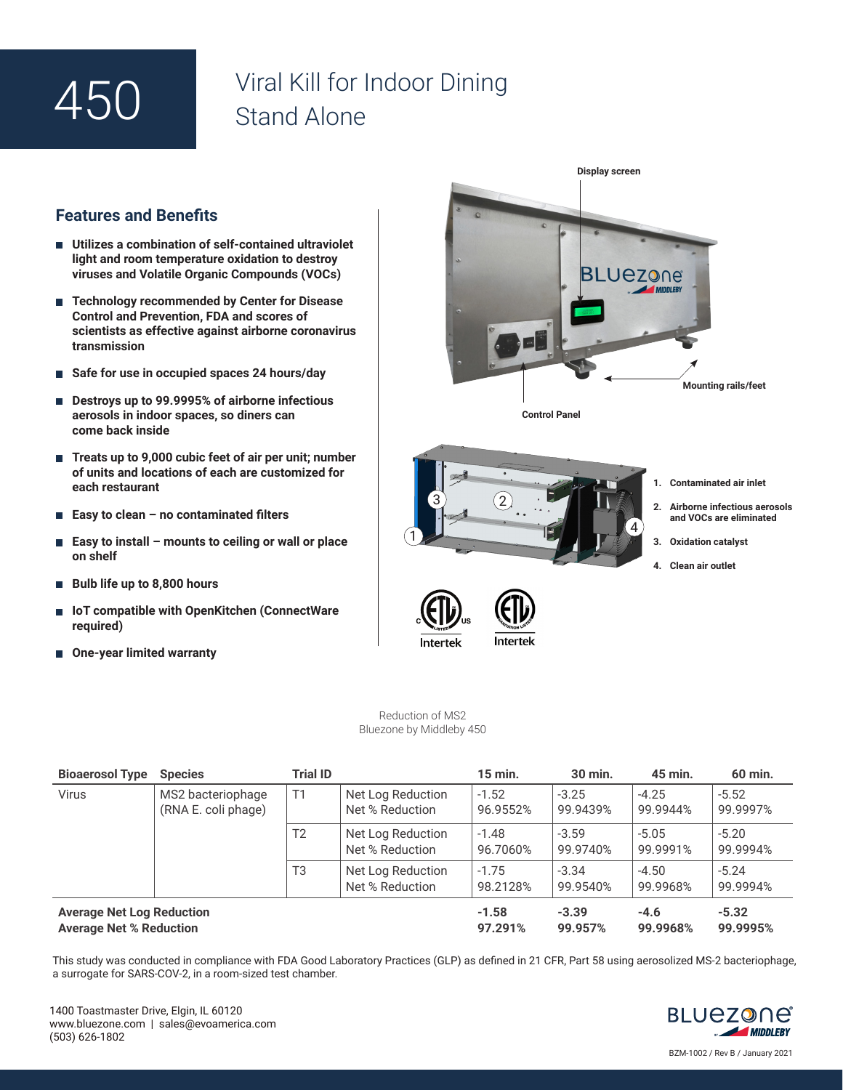## 450

## Viral Kill for Indoor Dining Stand Alone

## **Features and Benefits**

- **Utilizes a combination of self-contained ultraviolet light and room temperature oxidation to destroy viruses and Volatile Organic Compounds (VOCs)**
- **Technology recommended by Center for Disease Control and Prevention, FDA and scores of scientists as effective against airborne coronavirus transmission**
- **Safe for use in occupied spaces 24 hours/day**
- Destroys up to 99.9995% of airborne infectious **aerosols in indoor spaces, so diners can come back inside**
- Treats up to 9,000 cubic feet of air per unit; number **of units and locations of each are customized for each restaurant**
- **Easy to clean no contaminated filters**
- П **Easy to install – mounts to ceiling or wall or place on shelf**
- **Bulb life up to 8,800 hours**
- IoT compatible with OpenKitchen (ConnectWare **required)**
- One-year limited warranty



Reduction of MS2 Bluezone by Middleby 450

| <b>Bioaerosol Type</b>                                             | <b>Species</b>                           | <b>Trial ID</b> |                                      | 15 min.             | 30 min.             | 45 min.             | 60 min.             |
|--------------------------------------------------------------------|------------------------------------------|-----------------|--------------------------------------|---------------------|---------------------|---------------------|---------------------|
| <b>Virus</b>                                                       | MS2 bacteriophage<br>(RNA E. coli phage) | T1              | Net Log Reduction<br>Net % Reduction | $-1.52$<br>96.9552% | $-3.25$<br>99.9439% | $-4.25$<br>99.9944% | $-5.52$<br>99.9997% |
|                                                                    |                                          | T <sub>2</sub>  | Net Log Reduction<br>Net % Reduction | $-1.48$<br>96.7060% | $-3.59$<br>99.9740% | $-5.05$<br>99.9991% | $-5.20$<br>99.9994% |
|                                                                    |                                          | T <sub>3</sub>  | Net Log Reduction<br>Net % Reduction | $-1.75$<br>98.2128% | $-3.34$<br>99.9540% | $-4.50$<br>99.9968% | $-5.24$<br>99.9994% |
| <b>Average Net Log Reduction</b><br><b>Average Net % Reduction</b> |                                          |                 |                                      | $-1.58$<br>97.291%  | $-3.39$<br>99.957%  | $-4.6$<br>99.9968%  | $-5.32$<br>99.9995% |

This study was conducted in compliance with FDA Good Laboratory Practices (GLP) as defined in 21 CFR, Part 58 using aerosolized MS-2 bacteriophage, a surrogate for SARS-COV-2, in a room-sized test chamber.



BZM-1002 / Rev B / January 2021